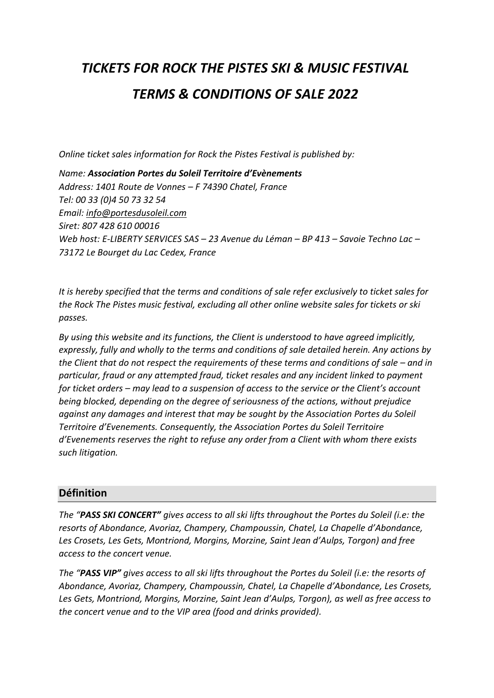# *TICKETS FOR ROCK THE PISTES SKI & MUSIC FESTIVAL TERMS & CONDITIONS OF SALE 2022*

*Online ticket sales information for Rock the Pistes Festival is published by:*

*Name: Association Portes du Soleil Territoire d'Evènements Address: 1401 Route de Vonnes – F 74390 Chatel, France Tel: 00 33 (0)4 50 73 32 54 Email: [info@portesdusoleil.com](mailto:info@portesdusoleil.com) Siret: 807 428 610 00016 Web host: E-LIBERTY SERVICES SAS – 23 Avenue du Léman – BP 413 – Savoie Techno Lac – 73172 Le Bourget du Lac Cedex, France*

*It is hereby specified that the terms and conditions of sale refer exclusively to ticket sales for the Rock The Pistes music festival, excluding all other online website sales for tickets or ski passes.* 

*By using this website and its functions, the Client is understood to have agreed implicitly, expressly, fully and wholly to the terms and conditions of sale detailed herein. Any actions by the Client that do not respect the requirements of these terms and conditions of sale – and in particular, fraud or any attempted fraud, ticket resales and any incident linked to payment for ticket orders – may lead to a suspension of access to the service or the Client's account being blocked, depending on the degree of seriousness of the actions, without prejudice against any damages and interest that may be sought by the Association Portes du Soleil Territoire d'Evenements. Consequently, the Association Portes du Soleil Territoire d'Evenements reserves the right to refuse any order from a Client with whom there exists such litigation.* 

## **Définition**

*The "PASS SKI CONCERT" gives access to all ski lifts throughout the Portes du Soleil (i.e: the resorts of Abondance, Avoriaz, Champery, Champoussin, Chatel, La Chapelle d'Abondance, Les Crosets, Les Gets, Montriond, Morgins, Morzine, Saint Jean d'Aulps, Torgon) and free access to the concert venue.*

*The "PASS VIP" gives access to all ski lifts throughout the Portes du Soleil (i.e: the resorts of Abondance, Avoriaz, Champery, Champoussin, Chatel, La Chapelle d'Abondance, Les Crosets, Les Gets, Montriond, Morgins, Morzine, Saint Jean d'Aulps, Torgon), as well as free access to the concert venue and to the VIP area (food and drinks provided).*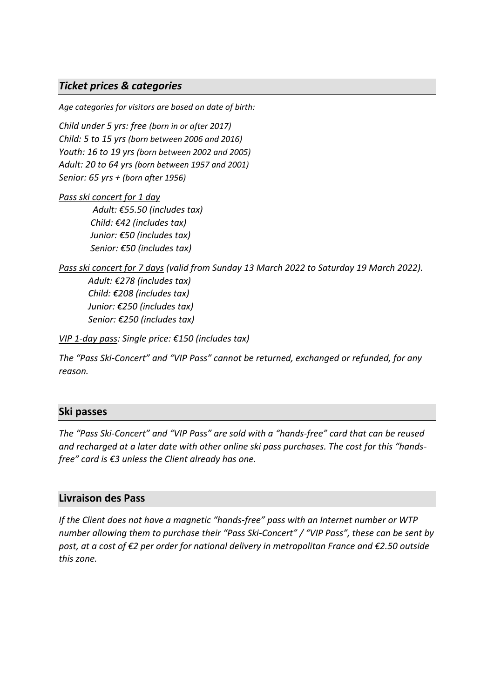## *Ticket prices & categories*

*Age categories for visitors are based on date of birth:*

*Child under 5 yrs: free (born in or after 2017) Child: 5 to 15 yrs (born between 2006 and 2016) Youth: 16 to 19 yrs (born between 2002 and 2005) Adult: 20 to 64 yrs (born between 1957 and 2001) Senior: 65 yrs + (born after 1956)*

#### *Pass ski concert for 1 day*

 *Adult: €55.50 (includes tax) Child: €42 (includes tax) Junior: €50 (includes tax) Senior: €50 (includes tax)*

*Pass ski concert for 7 days (valid from Sunday 13 March 2022 to Saturday 19 March 2022). Adult: €278 (includes tax) Child: €208 (includes tax) Junior: €250 (includes tax) Senior: €250 (includes tax)*

*VIP 1-day pass: Single price: €150 (includes tax)*

*The "Pass Ski-Concert" and "VIP Pass" cannot be returned, exchanged or refunded, for any reason.*

### **Ski passes**

*The "Pass Ski-Concert" and "VIP Pass" are sold with a "hands-free" card that can be reused and recharged at a later date with other online ski pass purchases. The cost for this "handsfree" card is €3 unless the Client already has one.*

### **Livraison des Pass**

*If the Client does not have a magnetic "hands-free" pass with an Internet number or WTP number allowing them to purchase their "Pass Ski-Concert" / "VIP Pass", these can be sent by post, at a cost of €2 per order for national delivery in metropolitan France and €2.50 outside this zone.*